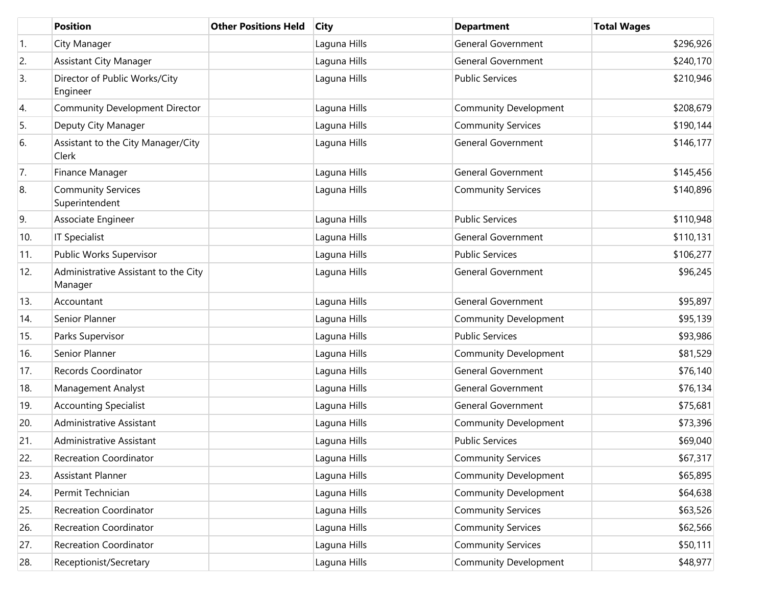|     | <b>Position</b>                                 | <b>Other Positions Held</b> | <b>City</b>  | <b>Department</b>            | <b>Total Wages</b> |
|-----|-------------------------------------------------|-----------------------------|--------------|------------------------------|--------------------|
| 1.  | City Manager                                    |                             | Laguna Hills | <b>General Government</b>    | \$296,926          |
| 2.  | <b>Assistant City Manager</b>                   |                             | Laguna Hills | <b>General Government</b>    | \$240,170          |
| 3.  | Director of Public Works/City<br>Engineer       |                             | Laguna Hills | <b>Public Services</b>       | \$210,946          |
| 4.  | <b>Community Development Director</b>           |                             | Laguna Hills | <b>Community Development</b> | \$208,679          |
| 5.  | Deputy City Manager                             |                             | Laguna Hills | <b>Community Services</b>    | \$190,144          |
| 6.  | Assistant to the City Manager/City<br>Clerk     |                             | Laguna Hills | <b>General Government</b>    | \$146,177          |
| 7.  | Finance Manager                                 |                             | Laguna Hills | <b>General Government</b>    | \$145,456          |
| 8.  | <b>Community Services</b><br>Superintendent     |                             | Laguna Hills | <b>Community Services</b>    | \$140,896          |
| 9.  | Associate Engineer                              |                             | Laguna Hills | <b>Public Services</b>       | \$110,948          |
| 10. | <b>IT Specialist</b>                            |                             | Laguna Hills | <b>General Government</b>    | \$110,131          |
| 11. | Public Works Supervisor                         |                             | Laguna Hills | <b>Public Services</b>       | \$106,277          |
| 12. | Administrative Assistant to the City<br>Manager |                             | Laguna Hills | <b>General Government</b>    | \$96,245           |
| 13. | Accountant                                      |                             | Laguna Hills | General Government           | \$95,897           |
| 14. | Senior Planner                                  |                             | Laguna Hills | Community Development        | \$95,139           |
| 15. | Parks Supervisor                                |                             | Laguna Hills | <b>Public Services</b>       | \$93,986           |
| 16. | Senior Planner                                  |                             | Laguna Hills | Community Development        | \$81,529           |
| 17. | Records Coordinator                             |                             | Laguna Hills | <b>General Government</b>    | \$76,140           |
| 18. | Management Analyst                              |                             | Laguna Hills | <b>General Government</b>    | \$76,134           |
| 19. | <b>Accounting Specialist</b>                    |                             | Laguna Hills | General Government           | \$75,681           |
| 20. | Administrative Assistant                        |                             | Laguna Hills | Community Development        | \$73,396           |
| 21. | Administrative Assistant                        |                             | Laguna Hills | <b>Public Services</b>       | \$69,040           |
| 22. | <b>Recreation Coordinator</b>                   |                             | Laguna Hills | <b>Community Services</b>    | \$67,317           |
| 23. | Assistant Planner                               |                             | Laguna Hills | Community Development        | \$65,895           |
| 24. | Permit Technician                               |                             | Laguna Hills | Community Development        | \$64,638           |
| 25. | Recreation Coordinator                          |                             | Laguna Hills | <b>Community Services</b>    | \$63,526           |
| 26. | Recreation Coordinator                          |                             | Laguna Hills | <b>Community Services</b>    | \$62,566           |
| 27. | Recreation Coordinator                          |                             | Laguna Hills | <b>Community Services</b>    | \$50,111           |
| 28. | Receptionist/Secretary                          |                             | Laguna Hills | <b>Community Development</b> | \$48,977           |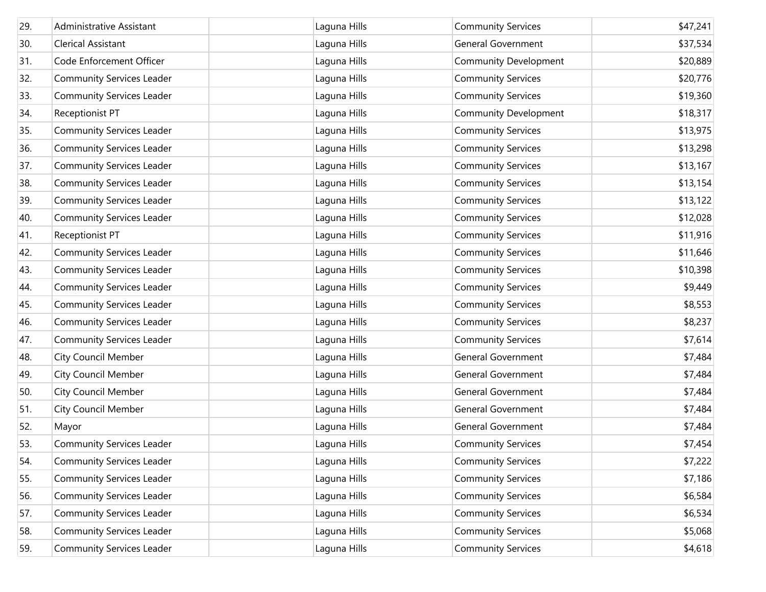| 29. | Administrative Assistant         | Laguna Hills | <b>Community Services</b>    | \$47,241 |
|-----|----------------------------------|--------------|------------------------------|----------|
| 30. | <b>Clerical Assistant</b>        | Laguna Hills | <b>General Government</b>    | \$37,534 |
| 31. | Code Enforcement Officer         | Laguna Hills | <b>Community Development</b> | \$20,889 |
| 32. | Community Services Leader        | Laguna Hills | <b>Community Services</b>    | \$20,776 |
| 33. | Community Services Leader        | Laguna Hills | <b>Community Services</b>    | \$19,360 |
| 34. | Receptionist PT                  | Laguna Hills | <b>Community Development</b> | \$18,317 |
| 35. | Community Services Leader        | Laguna Hills | <b>Community Services</b>    | \$13,975 |
| 36. | <b>Community Services Leader</b> | Laguna Hills | <b>Community Services</b>    | \$13,298 |
| 37. | Community Services Leader        | Laguna Hills | <b>Community Services</b>    | \$13,167 |
| 38. | Community Services Leader        | Laguna Hills | <b>Community Services</b>    | \$13,154 |
| 39. | Community Services Leader        | Laguna Hills | <b>Community Services</b>    | \$13,122 |
| 40. | Community Services Leader        | Laguna Hills | <b>Community Services</b>    | \$12,028 |
| 41. | Receptionist PT                  | Laguna Hills | <b>Community Services</b>    | \$11,916 |
| 42. | Community Services Leader        | Laguna Hills | <b>Community Services</b>    | \$11,646 |
| 43. | <b>Community Services Leader</b> | Laguna Hills | <b>Community Services</b>    | \$10,398 |
| 44. | <b>Community Services Leader</b> | Laguna Hills | <b>Community Services</b>    | \$9,449  |
| 45. | Community Services Leader        | Laguna Hills | <b>Community Services</b>    | \$8,553  |
| 46. | Community Services Leader        | Laguna Hills | <b>Community Services</b>    | \$8,237  |
| 47. | <b>Community Services Leader</b> | Laguna Hills | <b>Community Services</b>    | \$7,614  |
| 48. | <b>City Council Member</b>       | Laguna Hills | <b>General Government</b>    | \$7,484  |
| 49. | <b>City Council Member</b>       | Laguna Hills | <b>General Government</b>    | \$7,484  |
| 50. | <b>City Council Member</b>       | Laguna Hills | <b>General Government</b>    | \$7,484  |
| 51. | <b>City Council Member</b>       | Laguna Hills | <b>General Government</b>    | \$7,484  |
| 52. | Mayor                            | Laguna Hills | <b>General Government</b>    | \$7,484  |
| 53. | <b>Community Services Leader</b> | Laguna Hills | <b>Community Services</b>    | \$7,454  |
| 54. | <b>Community Services Leader</b> | Laguna Hills | <b>Community Services</b>    | \$7,222  |
| 55. | <b>Community Services Leader</b> | Laguna Hills | <b>Community Services</b>    | \$7,186  |
| 56. | <b>Community Services Leader</b> | Laguna Hills | <b>Community Services</b>    | \$6,584  |
| 57. | <b>Community Services Leader</b> | Laguna Hills | <b>Community Services</b>    | \$6,534  |
| 58. | <b>Community Services Leader</b> | Laguna Hills | <b>Community Services</b>    | \$5,068  |
| 59. | <b>Community Services Leader</b> | Laguna Hills | <b>Community Services</b>    | \$4,618  |